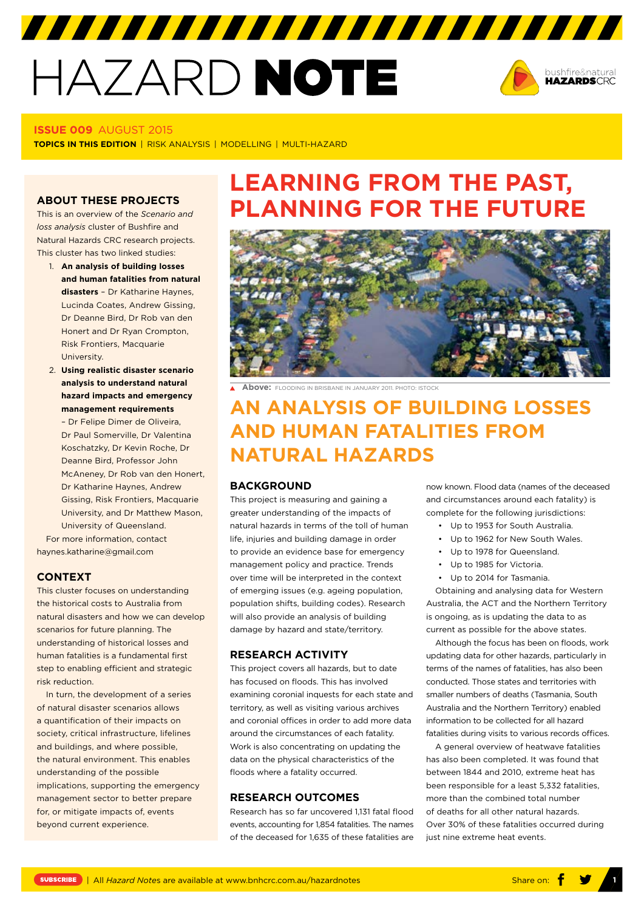# HAZARD NOTE



#### **ISSUE 009** AUGUST 2015

**TOPICS IN THIS EDITION** | RISK ANALYSIS | MODELLING | MULTI-HAZARD

This is an overview of the *Scenario and loss analysis* cluster of Bushfire and Natural Hazards CRC research projects. This cluster has two linked studies:

- 1. **An analysis of building losses and human fatalities from natural disasters** – Dr Katharine Haynes, Lucinda Coates, Andrew Gissing, Dr Deanne Bird, Dr Rob van den Honert and Dr Ryan Crompton, Risk Frontiers, Macquarie University.
- 2. **Using realistic disaster scenario analysis to understand natural hazard impacts and emergency management requirements**

– Dr Felipe Dimer de Oliveira, Dr Paul Somerville, Dr Valentina Koschatzky, Dr Kevin Roche, Dr Deanne Bird, Professor John McAneney, Dr Rob van den Honert, Dr Katharine Haynes, Andrew Gissing, Risk Frontiers, Macquarie University, and Dr Matthew Mason, University of Queensland.

For more information, contact [haynes.katharine@gmail.com](mailto:haynes.katharine@gmail.com)

#### **CONTEXT**

This cluster focuses on understanding the historical costs to Australia from natural disasters and how we can develop scenarios for future planning. The understanding of historical losses and human fatalities is a fundamental first step to enabling efficient and strategic risk reduction.

In turn, the development of a series of natural disaster scenarios allows a quantification of their impacts on society, critical infrastructure, lifelines and buildings, and where possible, the natural environment. This enables understanding of the possible implications, supporting the emergency management sector to better prepare for, or mitigate impacts of, events beyond current experience.

## **LEARNING FROM THE PAST, ABOUT THESE PROJECTS PLANNING FOR THE FUTURE**



**Above:** FLOODING IN BRISBANE IN JANUARY 2011. PHOTO: ISTOCK

## **AN ANALYSIS OF BUILDING LOSSES AND HUMAN FATALITIES FROM NATURAL HAZARDS**

#### **BACKGROUND**

This project is measuring and gaining a greater understanding of the impacts of natural hazards in terms of the toll of human life, injuries and building damage in order to provide an evidence base for emergency management policy and practice. Trends over time will be interpreted in the context of emerging issues (e.g. ageing population, population shifts, building codes). Research will also provide an analysis of building damage by hazard and state/territory.

#### **RESEARCH ACTIVITY**

This project covers all hazards, but to date has focused on floods. This has involved examining coronial inquests for each state and territory, as well as visiting various archives and coronial offices in order to add more data around the circumstances of each fatality. Work is also concentrating on updating the data on the physical characteristics of the floods where a fatality occurred.

#### **RESEARCH OUTCOMES**

Research has so far uncovered 1,131 fatal flood events, accounting for 1,854 fatalities. The names of the deceased for 1,635 of these fatalities are

now known. Flood data (names of the deceased and circumstances around each fatality) is complete for the following jurisdictions:

- Up to 1953 for South Australia.
- Up to 1962 for New South Wales.
- Up to 1978 for Queensland.
- Up to 1985 for Victoria.
- Up to 2014 for Tasmania.

Obtaining and analysing data for Western Australia, the ACT and the Northern Territory is ongoing, as is updating the data to as current as possible for the above states.

Although the focus has been on floods, work updating data for other hazards, particularly in terms of the names of fatalities, has also been conducted. Those states and territories with smaller numbers of deaths (Tasmania, South Australia and the Northern Territory) enabled information to be collected for all hazard fatalities during visits to various records offices.

A general overview of heatwave fatalities has also been completed. It was found that between 1844 and 2010, extreme heat has been responsible for a least 5,332 fatalities, more than the combined total number of deaths for all other natural hazards. Over 30% of these fatalities occurred during just nine extreme heat events.